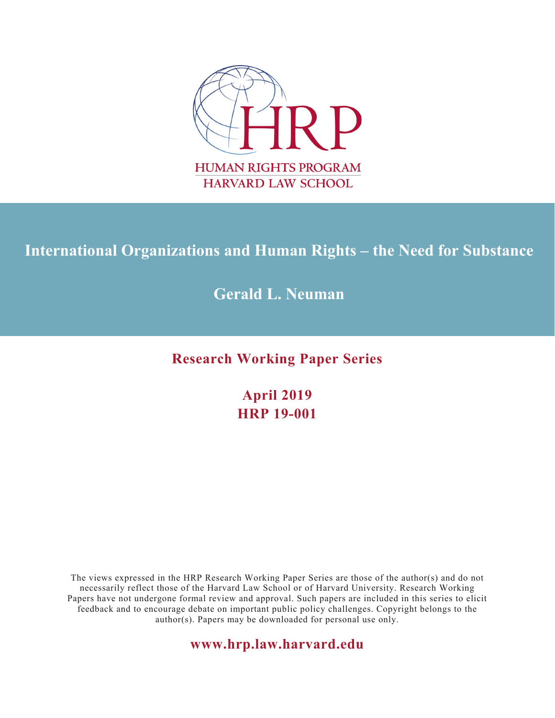

# **International Organizations and Human Rights – the Need for Substance**

## **Gerald L. Neuman**

**Research Working Paper Series**

**April 2019 HRP 19-001**

The views expressed in the HRP Research Working Paper Series are those of the author(s) and do not necessarily reflect those of the Harvard Law School or of Harvard University. Research Working Papers have not undergone formal review and approval. Such papers are included in this series to elicit feedback and to encourage debate on important public policy challenges. Copyright belongs to the author(s). Papers may be downloaded for personal use only.

**www.hrp.law.harvard.edu**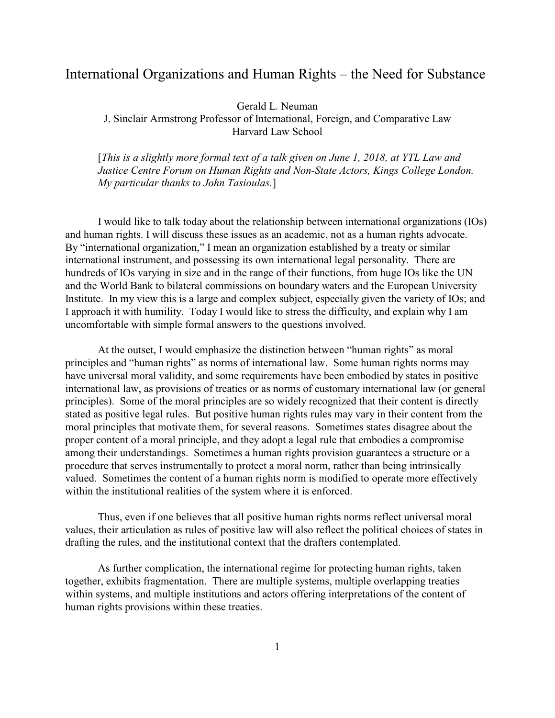### International Organizations and Human Rights – the Need for Substance

Gerald L. Neuman

J. Sinclair Armstrong Professor of International, Foreign, and Comparative Law Harvard Law School

[*This is a slightly more formal text of a talk given on June 1, 2018, at YTL Law and Justice Centre Forum on Human Rights and Non-State Actors, Kings College London. My particular thanks to John Tasioulas.*]

I would like to talk today about the relationship between international organizations (IOs) and human rights. I will discuss these issues as an academic, not as a human rights advocate. By "international organization," I mean an organization established by a treaty or similar international instrument, and possessing its own international legal personality. There are hundreds of IOs varying in size and in the range of their functions, from huge IOs like the UN and the World Bank to bilateral commissions on boundary waters and the European University Institute. In my view this is a large and complex subject, especially given the variety of IOs; and I approach it with humility. Today I would like to stress the difficulty, and explain why I am uncomfortable with simple formal answers to the questions involved.

At the outset, I would emphasize the distinction between "human rights" as moral principles and "human rights" as norms of international law. Some human rights norms may have universal moral validity, and some requirements have been embodied by states in positive international law, as provisions of treaties or as norms of customary international law (or general principles). Some of the moral principles are so widely recognized that their content is directly stated as positive legal rules. But positive human rights rules may vary in their content from the moral principles that motivate them, for several reasons. Sometimes states disagree about the proper content of a moral principle, and they adopt a legal rule that embodies a compromise among their understandings. Sometimes a human rights provision guarantees a structure or a procedure that serves instrumentally to protect a moral norm, rather than being intrinsically valued. Sometimes the content of a human rights norm is modified to operate more effectively within the institutional realities of the system where it is enforced.

Thus, even if one believes that all positive human rights norms reflect universal moral values, their articulation as rules of positive law will also reflect the political choices of states in drafting the rules, and the institutional context that the drafters contemplated.

As further complication, the international regime for protecting human rights, taken together, exhibits fragmentation. There are multiple systems, multiple overlapping treaties within systems, and multiple institutions and actors offering interpretations of the content of human rights provisions within these treaties.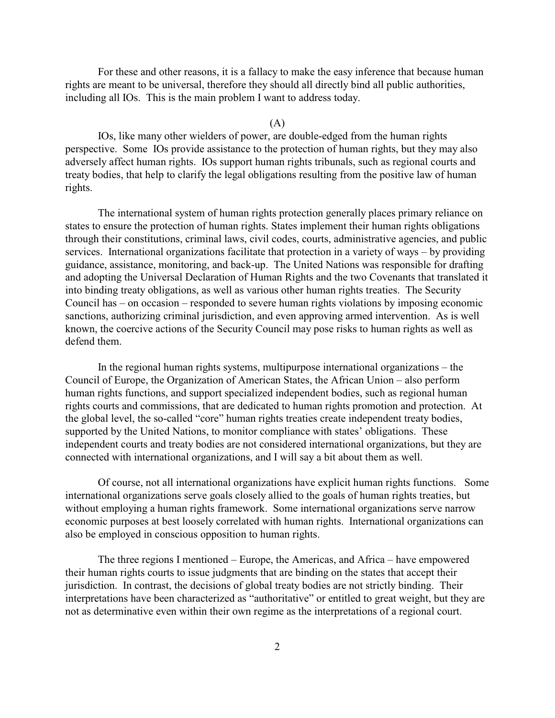For these and other reasons, it is a fallacy to make the easy inference that because human rights are meant to be universal, therefore they should all directly bind all public authorities, including all IOs. This is the main problem I want to address today.

#### (A)

IOs, like many other wielders of power, are double-edged from the human rights perspective. Some IOs provide assistance to the protection of human rights, but they may also adversely affect human rights. IOs support human rights tribunals, such as regional courts and treaty bodies, that help to clarify the legal obligations resulting from the positive law of human rights.

The international system of human rights protection generally places primary reliance on states to ensure the protection of human rights. States implement their human rights obligations through their constitutions, criminal laws, civil codes, courts, administrative agencies, and public services. International organizations facilitate that protection in a variety of ways – by providing guidance, assistance, monitoring, and back-up. The United Nations was responsible for drafting and adopting the Universal Declaration of Human Rights and the two Covenants that translated it into binding treaty obligations, as well as various other human rights treaties. The Security Council has – on occasion – responded to severe human rights violations by imposing economic sanctions, authorizing criminal jurisdiction, and even approving armed intervention. As is well known, the coercive actions of the Security Council may pose risks to human rights as well as defend them.

In the regional human rights systems, multipurpose international organizations – the Council of Europe, the Organization of American States, the African Union – also perform human rights functions, and support specialized independent bodies, such as regional human rights courts and commissions, that are dedicated to human rights promotion and protection. At the global level, the so-called "core" human rights treaties create independent treaty bodies, supported by the United Nations, to monitor compliance with states' obligations. These independent courts and treaty bodies are not considered international organizations, but they are connected with international organizations, and I will say a bit about them as well.

Of course, not all international organizations have explicit human rights functions. Some international organizations serve goals closely allied to the goals of human rights treaties, but without employing a human rights framework. Some international organizations serve narrow economic purposes at best loosely correlated with human rights. International organizations can also be employed in conscious opposition to human rights.

The three regions I mentioned – Europe, the Americas, and Africa – have empowered their human rights courts to issue judgments that are binding on the states that accept their jurisdiction. In contrast, the decisions of global treaty bodies are not strictly binding. Their interpretations have been characterized as "authoritative" or entitled to great weight, but they are not as determinative even within their own regime as the interpretations of a regional court.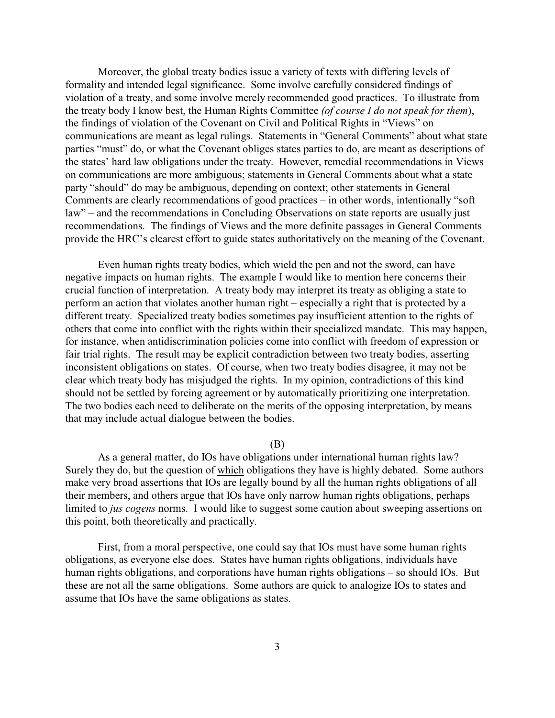Moreover, the global treaty bodies issue a variety of texts with differing levels of formality and intended legal significance. Some involve carefully considered findings of violation of a treaty, and some involve merely recommended good practices. To illustrate from the treaty body I know best, the Human Rights Committee *(of course I do not speak for them*), the findings of violation of the Covenant on Civil and Political Rights in "Views" on communications are meant as legal rulings. Statements in "General Comments" about what state parties "must" do, or what the Covenant obliges states parties to do, are meant as descriptions of the states' hard law obligations under the treaty. However, remedial recommendations in Views on communications are more ambiguous; statements in General Comments about what a state party "should" do may be ambiguous, depending on context; other statements in General Comments are clearly recommendations of good practices – in other words, intentionally "soft law" – and the recommendations in Concluding Observations on state reports are usually just recommendations. The findings of Views and the more definite passages in General Comments provide the HRC's clearest effort to guide states authoritatively on the meaning of the Covenant.

Even human rights treaty bodies, which wield the pen and not the sword, can have negative impacts on human rights. The example I would like to mention here concerns their crucial function of interpretation. A treaty body may interpret its treaty as obliging a state to perform an action that violates another human right – especially a right that is protected by a different treaty. Specialized treaty bodies sometimes pay insufficient attention to the rights of others that come into conflict with the rights within their specialized mandate. This may happen, for instance, when antidiscrimination policies come into conflict with freedom of expression or fair trial rights. The result may be explicit contradiction between two treaty bodies, asserting inconsistent obligations on states. Of course, when two treaty bodies disagree, it may not be clear which treaty body has misjudged the rights. In my opinion, contradictions of this kind should not be settled by forcing agreement or by automatically prioritizing one interpretation. The two bodies each need to deliberate on the merits of the opposing interpretation, by means that may include actual dialogue between the bodies.

#### (B)

As a general matter, do IOs have obligations under international human rights law? Surely they do, but the question of which obligations they have is highly debated. Some authors make very broad assertions that IOs are legally bound by all the human rights obligations of all their members, and others argue that IOs have only narrow human rights obligations, perhaps limited to *jus cogens* norms. I would like to suggest some caution about sweeping assertions on this point, both theoretically and practically.

First, from a moral perspective, one could say that IOs must have some human rights obligations, as everyone else does. States have human rights obligations, individuals have human rights obligations, and corporations have human rights obligations – so should IOs. But these are not all the same obligations. Some authors are quick to analogize IOs to states and assume that IOs have the same obligations as states.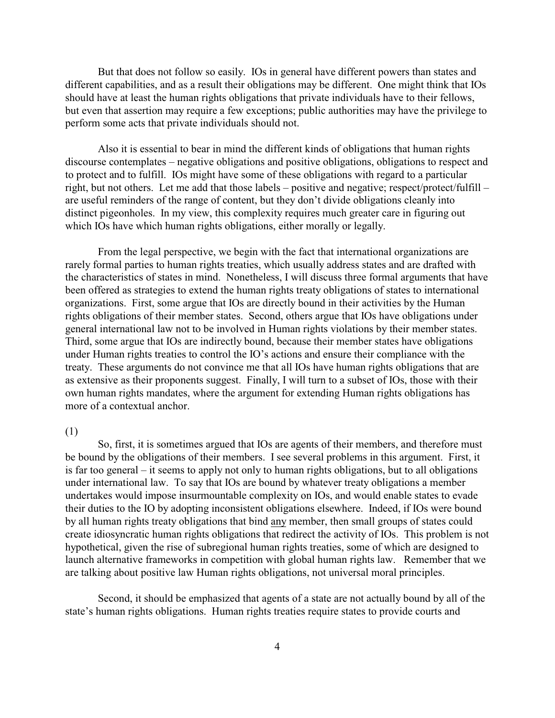But that does not follow so easily. IOs in general have different powers than states and different capabilities, and as a result their obligations may be different. One might think that IOs should have at least the human rights obligations that private individuals have to their fellows, but even that assertion may require a few exceptions; public authorities may have the privilege to perform some acts that private individuals should not.

Also it is essential to bear in mind the different kinds of obligations that human rights discourse contemplates – negative obligations and positive obligations, obligations to respect and to protect and to fulfill. IOs might have some of these obligations with regard to a particular right, but not others. Let me add that those labels – positive and negative; respect/protect/fulfill – are useful reminders of the range of content, but they don't divide obligations cleanly into distinct pigeonholes. In my view, this complexity requires much greater care in figuring out which IOs have which human rights obligations, either morally or legally.

From the legal perspective, we begin with the fact that international organizations are rarely formal parties to human rights treaties, which usually address states and are drafted with the characteristics of states in mind. Nonetheless, I will discuss three formal arguments that have been offered as strategies to extend the human rights treaty obligations of states to international organizations. First, some argue that IOs are directly bound in their activities by the Human rights obligations of their member states. Second, others argue that IOs have obligations under general international law not to be involved in Human rights violations by their member states. Third, some argue that IOs are indirectly bound, because their member states have obligations under Human rights treaties to control the IO's actions and ensure their compliance with the treaty. These arguments do not convince me that all IOs have human rights obligations that are as extensive as their proponents suggest. Finally, I will turn to a subset of IOs, those with their own human rights mandates, where the argument for extending Human rights obligations has more of a contextual anchor.

#### (1)

So, first, it is sometimes argued that IOs are agents of their members, and therefore must be bound by the obligations of their members. I see several problems in this argument. First, it is far too general – it seems to apply not only to human rights obligations, but to all obligations under international law. To say that IOs are bound by whatever treaty obligations a member undertakes would impose insurmountable complexity on IOs, and would enable states to evade their duties to the IO by adopting inconsistent obligations elsewhere. Indeed, if IOs were bound by all human rights treaty obligations that bind any member, then small groups of states could create idiosyncratic human rights obligations that redirect the activity of IOs. This problem is not hypothetical, given the rise of subregional human rights treaties, some of which are designed to launch alternative frameworks in competition with global human rights law. Remember that we are talking about positive law Human rights obligations, not universal moral principles.

Second, it should be emphasized that agents of a state are not actually bound by all of the state's human rights obligations. Human rights treaties require states to provide courts and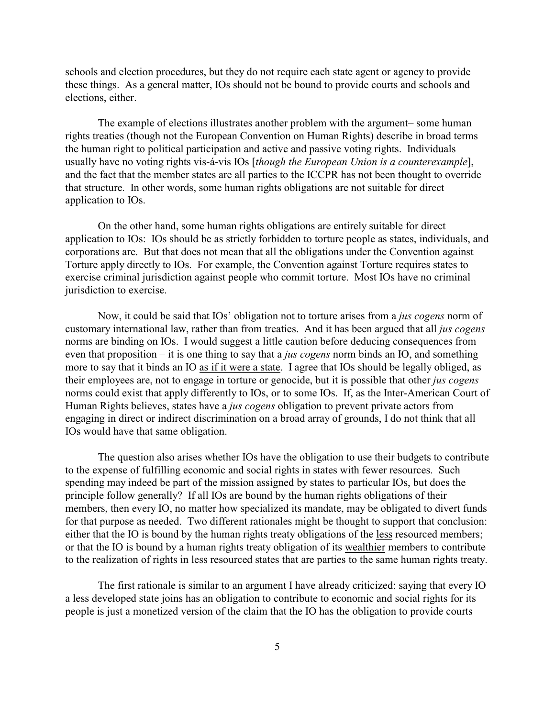schools and election procedures, but they do not require each state agent or agency to provide these things. As a general matter, IOs should not be bound to provide courts and schools and elections, either.

The example of elections illustrates another problem with the argument– some human rights treaties (though not the European Convention on Human Rights) describe in broad terms the human right to political participation and active and passive voting rights. Individuals usually have no voting rights vis-á-vis IOs [*though the European Union is a counterexample*], and the fact that the member states are all parties to the ICCPR has not been thought to override that structure. In other words, some human rights obligations are not suitable for direct application to IOs.

On the other hand, some human rights obligations are entirely suitable for direct application to IOs: IOs should be as strictly forbidden to torture people as states, individuals, and corporations are. But that does not mean that all the obligations under the Convention against Torture apply directly to IOs. For example, the Convention against Torture requires states to exercise criminal jurisdiction against people who commit torture. Most IOs have no criminal jurisdiction to exercise.

Now, it could be said that IOs' obligation not to torture arises from a *jus cogens* norm of customary international law, rather than from treaties. And it has been argued that all *jus cogens* norms are binding on IOs. I would suggest a little caution before deducing consequences from even that proposition – it is one thing to say that a *jus cogens* norm binds an IO, and something more to say that it binds an IO as if it were a state. I agree that IOs should be legally obliged, as their employees are, not to engage in torture or genocide, but it is possible that other *jus cogens* norms could exist that apply differently to IOs, or to some IOs.If, as the Inter-American Court of Human Rights believes, states have a *jus cogens* obligation to prevent private actors from engaging in direct or indirect discrimination on a broad array of grounds, I do not think that all IOs would have that same obligation.

The question also arises whether IOs have the obligation to use their budgets to contribute to the expense of fulfilling economic and social rights in states with fewer resources. Such spending may indeed be part of the mission assigned by states to particular IOs, but does the principle follow generally? If all IOs are bound by the human rights obligations of their members, then every IO, no matter how specialized its mandate, may be obligated to divert funds for that purpose as needed. Two different rationales might be thought to support that conclusion: either that the IO is bound by the human rights treaty obligations of the less resourced members; or that the IO is bound by a human rights treaty obligation of its wealthier members to contribute to the realization of rights in less resourced states that are parties to the same human rights treaty.

The first rationale is similar to an argument I have already criticized: saying that every IO a less developed state joins has an obligation to contribute to economic and social rights for its people is just a monetized version of the claim that the IO has the obligation to provide courts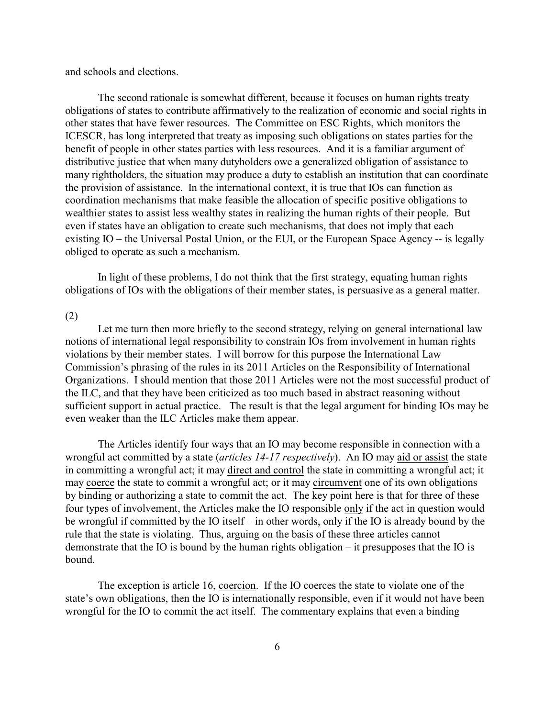and schools and elections.

The second rationale is somewhat different, because it focuses on human rights treaty obligations of states to contribute affirmatively to the realization of economic and social rights in other states that have fewer resources. The Committee on ESC Rights, which monitors the ICESCR, has long interpreted that treaty as imposing such obligations on states parties for the benefit of people in other states parties with less resources. And it is a familiar argument of distributive justice that when many dutyholders owe a generalized obligation of assistance to many rightholders, the situation may produce a duty to establish an institution that can coordinate the provision of assistance. In the international context, it is true that IOs can function as coordination mechanisms that make feasible the allocation of specific positive obligations to wealthier states to assist less wealthy states in realizing the human rights of their people. But even if states have an obligation to create such mechanisms, that does not imply that each existing IO – the Universal Postal Union, or the EUI, or the European Space Agency -- is legally obliged to operate as such a mechanism.

In light of these problems, I do not think that the first strategy, equating human rights obligations of IOs with the obligations of their member states, is persuasive as a general matter.

#### (2)

Let me turn then more briefly to the second strategy, relying on general international law notions of international legal responsibility to constrain IOs from involvement in human rights violations by their member states. I will borrow for this purpose the International Law Commission's phrasing of the rules in its 2011 Articles on the Responsibility of International Organizations. I should mention that those 2011 Articles were not the most successful product of the ILC, and that they have been criticized as too much based in abstract reasoning without sufficient support in actual practice. The result is that the legal argument for binding IOs may be even weaker than the ILC Articles make them appear.

The Articles identify four ways that an IO may become responsible in connection with a wrongful act committed by a state (*articles 14-17 respectively*). An IO may aid or assist the state in committing a wrongful act; it may direct and control the state in committing a wrongful act; it may coerce the state to commit a wrongful act; or it may circumvent one of its own obligations by binding or authorizing a state to commit the act. The key point here is that for three of these four types of involvement, the Articles make the IO responsible only if the act in question would be wrongful if committed by the IO itself – in other words, only if the IO is already bound by the rule that the state is violating. Thus, arguing on the basis of these three articles cannot demonstrate that the IO is bound by the human rights obligation – it presupposes that the IO is bound.

The exception is article 16, coercion. If the IO coerces the state to violate one of the state's own obligations, then the IO is internationally responsible, even if it would not have been wrongful for the IO to commit the act itself. The commentary explains that even a binding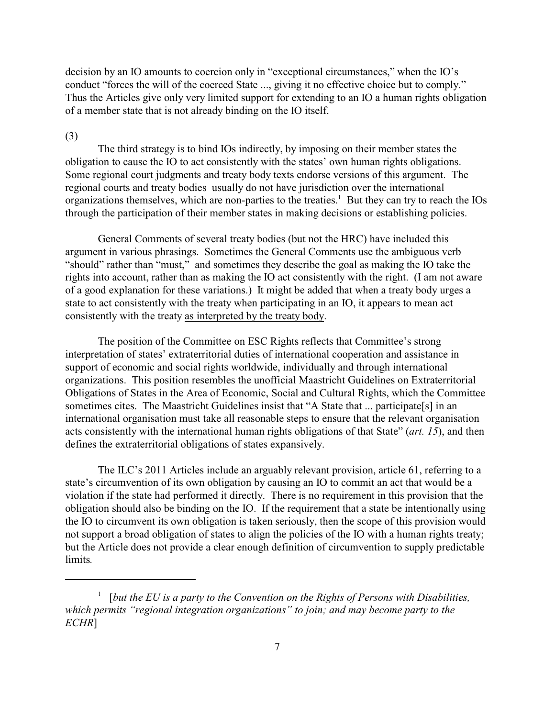decision by an IO amounts to coercion only in "exceptional circumstances," when the IO's conduct "forces the will of the coerced State ..., giving it no effective choice but to comply." Thus the Articles give only very limited support for extending to an IO a human rights obligation of a member state that is not already binding on the IO itself.

#### (3)

The third strategy is to bind IOs indirectly, by imposing on their member states the obligation to cause the IO to act consistently with the states' own human rights obligations. Some regional court judgments and treaty body texts endorse versions of this argument. The regional courts and treaty bodies usually do not have jurisdiction over the international organizations themselves, which are non-parties to the treaties.<sup>1</sup> But they can try to reach the  $IOS$ through the participation of their member states in making decisions or establishing policies.

General Comments of several treaty bodies (but not the HRC) have included this argument in various phrasings. Sometimes the General Comments use the ambiguous verb "should" rather than "must," and sometimes they describe the goal as making the IO take the rights into account, rather than as making the IO act consistently with the right. (I am not aware of a good explanation for these variations.) It might be added that when a treaty body urges a state to act consistently with the treaty when participating in an IO, it appears to mean act consistently with the treaty as interpreted by the treaty body.

The position of the Committee on ESC Rights reflects that Committee's strong interpretation of states' extraterritorial duties of international cooperation and assistance in support of economic and social rights worldwide, individually and through international organizations. This position resembles the unofficial Maastricht Guidelines on Extraterritorial Obligations of States in the Area of Economic, Social and Cultural Rights, which the Committee sometimes cites. The Maastricht Guidelines insist that "A State that ... participate[s] in an international organisation must take all reasonable steps to ensure that the relevant organisation acts consistently with the international human rights obligations of that State" (*art. 15*), and then defines the extraterritorial obligations of states expansively.

The ILC's 2011 Articles include an arguably relevant provision, article 61, referring to a state's circumvention of its own obligation by causing an IO to commit an act that would be a violation if the state had performed it directly. There is no requirement in this provision that the obligation should also be binding on the IO. If the requirement that a state be intentionally using the IO to circumvent its own obligation is taken seriously, then the scope of this provision would not support a broad obligation of states to align the policies of the IO with a human rights treaty; but the Article does not provide a clear enough definition of circumvention to supply predictable limits*.*

<sup>&</sup>lt;sup>1</sup> [but the EU is a party to the Convention on the Rights of Persons with Disabilities, *which permits "regional integration organizations" to join; and may become party to the ECHR*]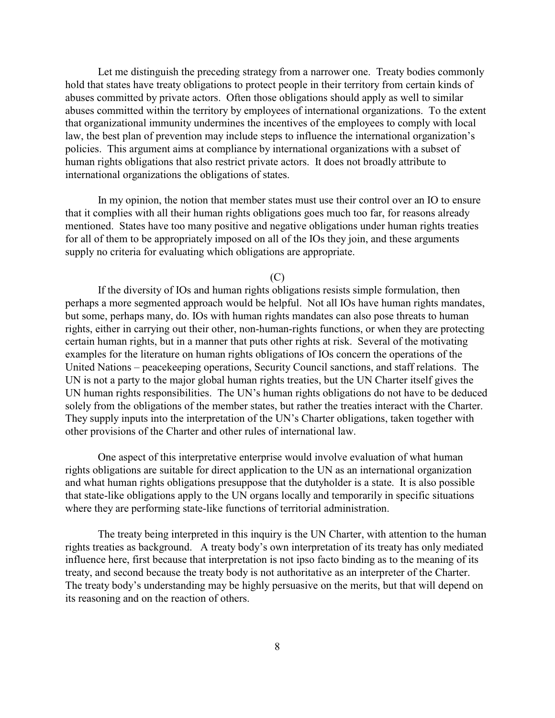Let me distinguish the preceding strategy from a narrower one. Treaty bodies commonly hold that states have treaty obligations to protect people in their territory from certain kinds of abuses committed by private actors. Often those obligations should apply as well to similar abuses committed within the territory by employees of international organizations. To the extent that organizational immunity undermines the incentives of the employees to comply with local law, the best plan of prevention may include steps to influence the international organization's policies. This argument aims at compliance by international organizations with a subset of human rights obligations that also restrict private actors. It does not broadly attribute to international organizations the obligations of states.

In my opinion, the notion that member states must use their control over an IO to ensure that it complies with all their human rights obligations goes much too far, for reasons already mentioned. States have too many positive and negative obligations under human rights treaties for all of them to be appropriately imposed on all of the IOs they join, and these arguments supply no criteria for evaluating which obligations are appropriate.

#### $(C)$

If the diversity of IOs and human rights obligations resists simple formulation, then perhaps a more segmented approach would be helpful. Not all IOs have human rights mandates, but some, perhaps many, do. IOs with human rights mandates can also pose threats to human rights, either in carrying out their other, non-human-rights functions, or when they are protecting certain human rights, but in a manner that puts other rights at risk. Several of the motivating examples for the literature on human rights obligations of IOs concern the operations of the United Nations – peacekeeping operations, Security Council sanctions, and staff relations. The UN is not a party to the major global human rights treaties, but the UN Charter itself gives the UN human rights responsibilities. The UN's human rights obligations do not have to be deduced solely from the obligations of the member states, but rather the treaties interact with the Charter. They supply inputs into the interpretation of the UN's Charter obligations, taken together with other provisions of the Charter and other rules of international law.

One aspect of this interpretative enterprise would involve evaluation of what human rights obligations are suitable for direct application to the UN as an international organization and what human rights obligations presuppose that the dutyholder is a state. It is also possible that state-like obligations apply to the UN organs locally and temporarily in specific situations where they are performing state-like functions of territorial administration.

The treaty being interpreted in this inquiry is the UN Charter, with attention to the human rights treaties as background. A treaty body's own interpretation of its treaty has only mediated influence here, first because that interpretation is not ipso facto binding as to the meaning of its treaty, and second because the treaty body is not authoritative as an interpreter of the Charter. The treaty body's understanding may be highly persuasive on the merits, but that will depend on its reasoning and on the reaction of others.